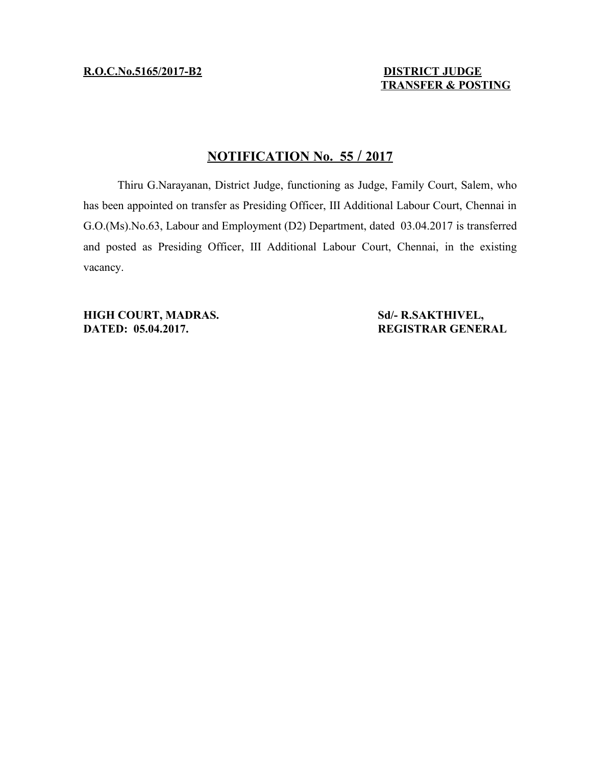**R.O.C.No.5165/2017-B2** DISTRICT JUDGE

 **TRANSFER & POSTING**

## **N OTIFICATION No. 55 / 20 17**

Thiru G.Narayanan, District Judge, functioning as Judge, Family Court, Salem, who has been appointed on transfer as Presiding Officer, III Additional Labour Court, Chennai in G.O.(Ms).No.63, Labour and Employment (D2) Department, dated 03.04.2017 is transferred and posted as Presiding Officer, III Additional Labour Court, Chennai, in the existing vacancy.

**HIGH COURT, MADRAS.** Sd/- R.SAKTHIVEL, **DATED: 05.04.2017. REGISTRAR GENERAL**